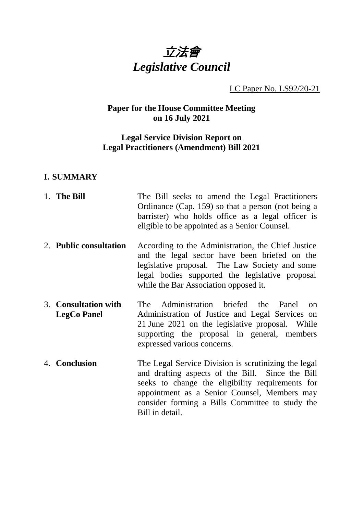

LC Paper No. LS92/20-21

# **Paper for the House Committee Meeting on 16 July 2021**

#### **Legal Service Division Report on Legal Practitioners (Amendment) Bill 2021**

#### **I. SUMMARY**

1. **The Bill** The Bill seeks to amend the Legal Practitioners Ordinance (Cap. 159) so that a person (not being a barrister) who holds office as a legal officer is eligible to be appointed as a Senior Counsel. 2. **Public consultation** According to the Administration, the Chief Justice and the legal sector have been briefed on the legislative proposal. The Law Society and some legal bodies supported the legislative proposal while the Bar Association opposed it. 3. **Consultation with LegCo Panel** The Administration briefed the Panel on Administration of Justice and Legal Services on 21 June 2021 on the legislative proposal. While supporting the proposal in general, members expressed various concerns. 4. **Conclusion** The Legal Service Division is scrutinizing the legal and drafting aspects of the Bill. Since the Bill seeks to change the eligibility requirements for appointment as a Senior Counsel, Members may consider forming a Bills Committee to study the Bill in detail.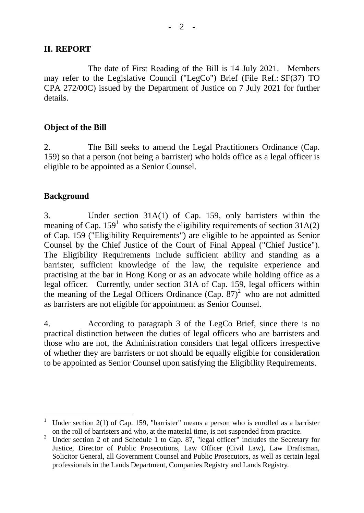#### **II. REPORT**

The date of First Reading of the Bill is 14 July 2021. Members may refer to the Legislative Council ("LegCo") Brief (File Ref.: SF(37) TO CPA 272/00C) issued by the Department of Justice on 7 July 2021 for further details.

## **Object of the Bill**

2. The Bill seeks to amend the Legal Practitioners Ordinance (Cap. 159) so that a person (not being a barrister) who holds office as a legal officer is eligible to be appointed as a Senior Counsel.

# **Background**

3. Under section 31A(1) of Cap. 159, only barristers within the meaning of Cap.  $159^1$  who satisfy the eligibility requirements of section 31A(2) of Cap. 159 ("Eligibility Requirements") are eligible to be appointed as Senior Counsel by the Chief Justice of the Court of Final Appeal ("Chief Justice"). The Eligibility Requirements include sufficient ability and standing as a barrister, sufficient knowledge of the law, the requisite experience and practising at the bar in Hong Kong or as an advocate while holding office as a legal officer. Currently, under section 31A of Cap. 159, legal officers within the meaning of the Legal Officers Ordinance  $(Cap. 87)^2$  who are not admitted as barristers are not eligible for appointment as Senior Counsel.

4. According to paragraph 3 of the LegCo Brief, since there is no practical distinction between the duties of legal officers who are barristers and those who are not, the Administration considers that legal officers irrespective of whether they are barristers or not should be equally eligible for consideration to be appointed as Senior Counsel upon satisfying the Eligibility Requirements.

<sup>-</sup>Under section  $2(1)$  of Cap. 159, "barrister" means a person who is enrolled as a barrister on the roll of barristers and who, at the material time, is not suspended from practice.

<sup>&</sup>lt;sup>2</sup> Under section 2 of and Schedule 1 to Cap. 87, "legal officer" includes the Secretary for Justice, Director of Public Prosecutions, Law Officer (Civil Law), Law Draftsman, Solicitor General, all Government Counsel and Public Prosecutors, as well as certain legal professionals in the Lands Department, Companies Registry and Lands Registry.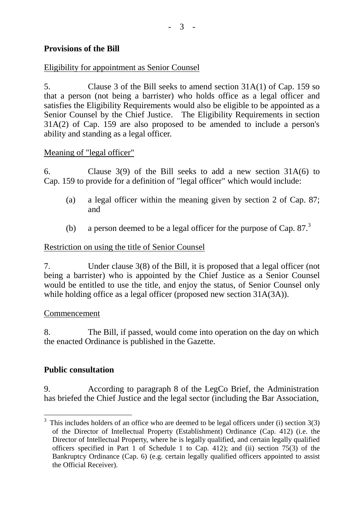# **Provisions of the Bill**

# Eligibility for appointment as Senior Counsel

5. Clause 3 of the Bill seeks to amend section 31A(1) of Cap. 159 so that a person (not being a barrister) who holds office as a legal officer and satisfies the Eligibility Requirements would also be eligible to be appointed as a Senior Counsel by the Chief Justice. The Eligibility Requirements in section 31A(2) of Cap. 159 are also proposed to be amended to include a person's ability and standing as a legal officer.

#### Meaning of "legal officer"

6. Clause 3(9) of the Bill seeks to add a new section 31A(6) to Cap. 159 to provide for a definition of "legal officer" which would include:

- (a) a legal officer within the meaning given by section 2 of Cap. 87; and
- (b) a person deemed to be a legal officer for the purpose of Cap.  $87<sup>3</sup>$

# Restriction on using the title of Senior Counsel

7. Under clause 3(8) of the Bill, it is proposed that a legal officer (not being a barrister) who is appointed by the Chief Justice as a Senior Counsel would be entitled to use the title, and enjoy the status, of Senior Counsel only while holding office as a legal officer (proposed new section 31A(3A)).

#### Commencement

8. The Bill, if passed, would come into operation on the day on which the enacted Ordinance is published in the Gazette.

# **Public consultation**

9. According to paragraph 8 of the LegCo Brief, the Administration has briefed the Chief Justice and the legal sector (including the Bar Association,

 $\frac{3}{3}$  This includes holders of an office who are deemed to be legal officers under (i) section 3(3) of the Director of Intellectual Property (Establishment) Ordinance (Cap. 412) (i.e. the Director of Intellectual Property, where he is legally qualified, and certain legally qualified officers specified in Part 1 of Schedule 1 to Cap. 412); and (ii) section 75(3) of the Bankruptcy Ordinance (Cap. 6) (e.g. certain legally qualified officers appointed to assist the Official Receiver).